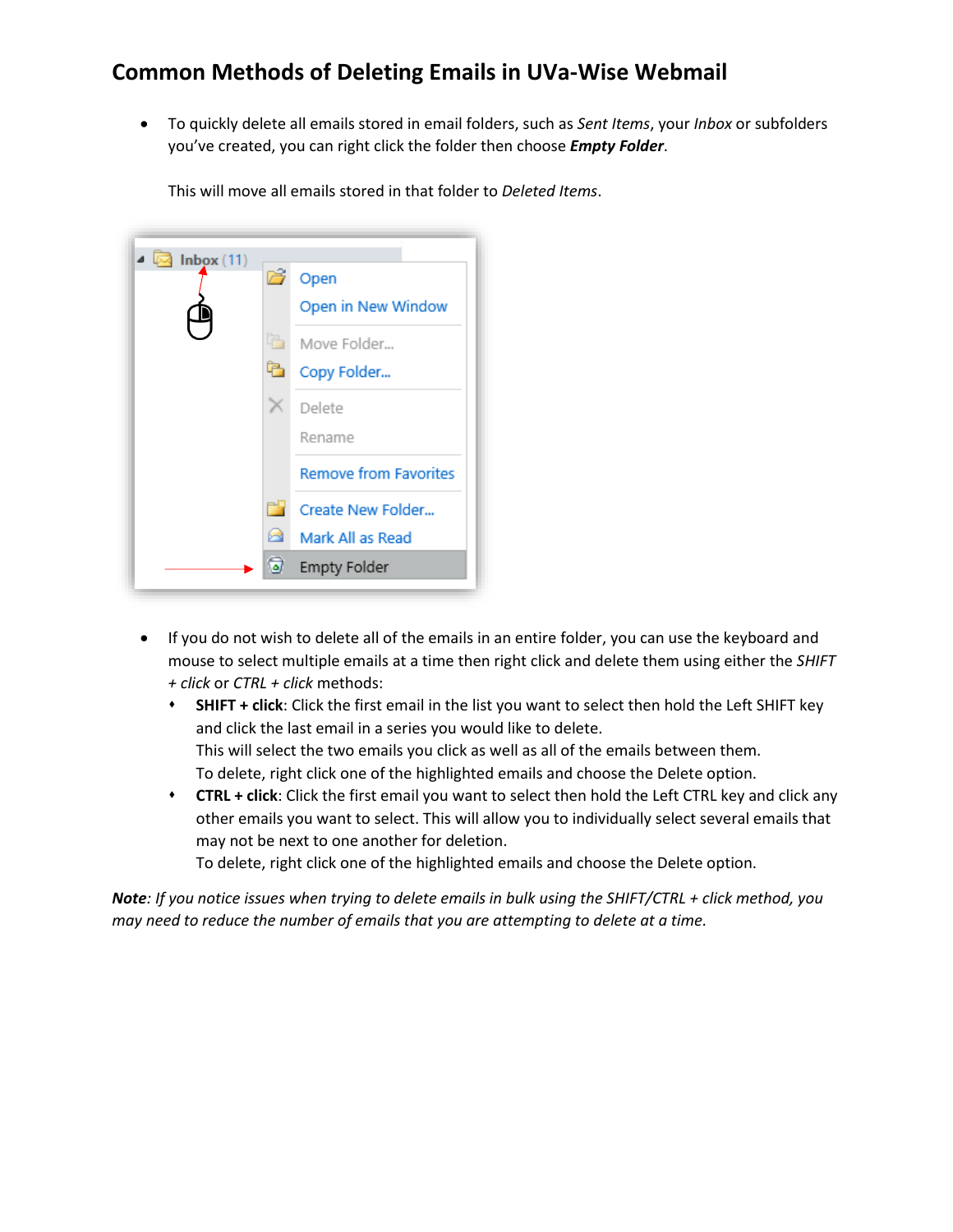## **Common Methods of Deleting Emails in UVa-Wise Webmail**

 To quickly delete all emails stored in email folders, such as *Sent Items*, your *Inbox* or subfolders you've created, you can right click the folder then choose *Empty Folder*.

| Inbox(11)<br>با ہ |   |                              |
|-------------------|---|------------------------------|
|                   | 序 | Open                         |
|                   |   | Open in New Window           |
|                   | 皓 | Move Folder                  |
|                   |   | Copy Folder                  |
|                   |   | Delete                       |
|                   |   | Rename                       |
|                   |   | <b>Remove from Favorites</b> |
|                   | m | Create New Folder            |
|                   |   | Mark All as Read             |
|                   | ۵ | <b>Empty Folder</b>          |

This will move all emails stored in that folder to *Deleted Items*.

- If you do not wish to delete all of the emails in an entire folder, you can use the keyboard and mouse to select multiple emails at a time then right click and delete them using either the *SHIFT + click* or *CTRL + click* methods:
	- **SHIFT + click**: Click the first email in the list you want to select then hold the Left SHIFT key and click the last email in a series you would like to delete. This will select the two emails you click as well as all of the emails between them. To delete, right click one of the highlighted emails and choose the Delete option.
	- **CTRL + click**: Click the first email you want to select then hold the Left CTRL key and click any other emails you want to select. This will allow you to individually select several emails that may not be next to one another for deletion.

To delete, right click one of the highlighted emails and choose the Delete option.

*Note: If you notice issues when trying to delete emails in bulk using the SHIFT/CTRL + click method, you may need to reduce the number of emails that you are attempting to delete at a time.*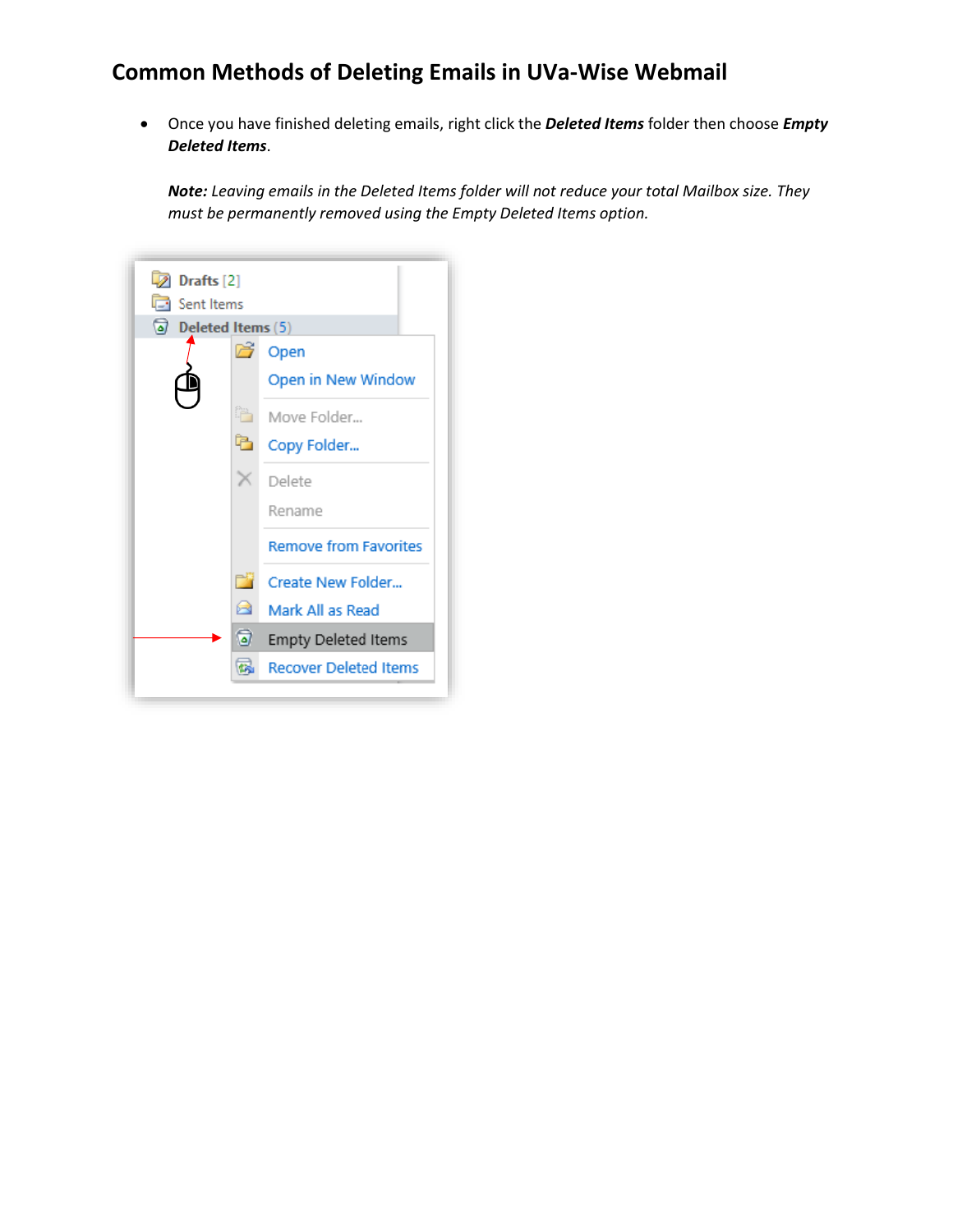## **Common Methods of Deleting Emails in UVa-Wise Webmail**

 Once you have finished deleting emails, right click the *Deleted Items* folder then choose *Empty Deleted Items*.

*Note: Leaving emails in the Deleted Items folder will not reduce your total Mailbox size. They must be permanently removed using the Empty Deleted Items option.*